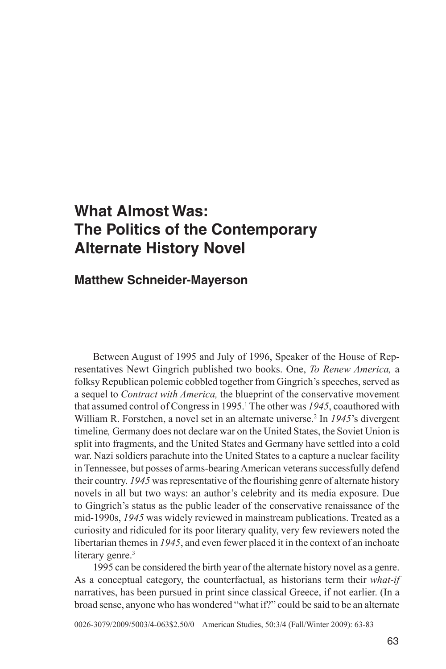# **What Almost Was: The Politics of the Contemporary Alternate History Novel**

# **Matthew Schneider-Mayerson**

Between August of 1995 and July of 1996, Speaker of the House of Representatives Newt Gingrich published two books. One, *To Renew America,* a folksy Republican polemic cobbled together from Gingrich's speeches, served as a sequel to *Contract with America,* the blueprint of the conservative movement that assumed control of Congress in 1995.<sup>1</sup> The other was 1945, coauthored with William R. Forstchen, a novel set in an alternate universe.<sup>2</sup> In 1945's divergent timeline*,* Germany does not declare war on the United States, the Soviet Union is split into fragments, and the United States and Germany have settled into a cold war. Nazi soldiers parachute into the United States to a capture a nuclear facility in Tennessee, but posses of arms-bearing American veterans successfully defend their country. *1945* was representative of the flourishing genre of alternate history novels in all but two ways: an author's celebrity and its media exposure. Due to Gingrich's status as the public leader of the conservative renaissance of the mid-1990s, *1945* was widely reviewed in mainstream publications. Treated as a curiosity and ridiculed for its poor literary quality, very few reviewers noted the libertarian themes in *1945*, and even fewer placed it in the context of an inchoate literary genre.<sup>3</sup>

1995 can be considered the birth year of the alternate history novel as a genre. As a conceptual category, the counterfactual, as historians term their *what-if* narratives, has been pursued in print since classical Greece, if not earlier. (In a broad sense, anyone who has wondered "what if?" could be said to be an alternate

0026-3079/2009/5003/4-063\$2.50/0 American Studies, 50:3/4 (Fall/Winter 2009): 63-83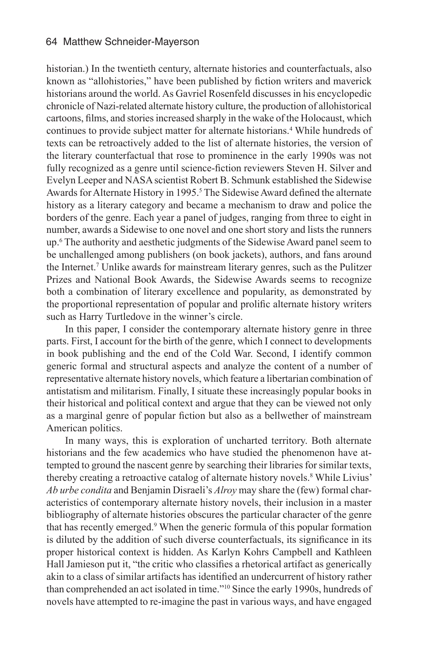historian.) In the twentieth century, alternate histories and counterfactuals, also known as "allohistories," have been published by fiction writers and maverick historians around the world. As Gavriel Rosenfeld discusses in his encyclopedic chronicle of Nazi-related alternate history culture, the production of allohistorical cartoons, films, and stories increased sharply in the wake of the Holocaust, which continues to provide subject matter for alternate historians.<sup>4</sup> While hundreds of texts can be retroactively added to the list of alternate histories, the version of the literary counterfactual that rose to prominence in the early 1990s was not fully recognized as a genre until science-fiction reviewers Steven H. Silver and Evelyn Leeper and NASA scientist Robert B. Schmunk established the Sidewise Awards for Alternate History in 1995.<sup>5</sup> The Sidewise Award defined the alternate history as a literary category and became a mechanism to draw and police the borders of the genre. Each year a panel of judges, ranging from three to eight in number, awards a Sidewise to one novel and one short story and lists the runners up.6 The authority and aesthetic judgments of the Sidewise Award panel seem to be unchallenged among publishers (on book jackets), authors, and fans around the Internet.7 Unlike awards for mainstream literary genres, such as the Pulitzer Prizes and National Book Awards, the Sidewise Awards seems to recognize both a combination of literary excellence and popularity, as demonstrated by the proportional representation of popular and prolific alternate history writers such as Harry Turtledove in the winner's circle.

In this paper, I consider the contemporary alternate history genre in three parts. First, I account for the birth of the genre, which I connect to developments in book publishing and the end of the Cold War. Second, I identify common generic formal and structural aspects and analyze the content of a number of representative alternate history novels, which feature a libertarian combination of antistatism and militarism. Finally, I situate these increasingly popular books in their historical and political context and argue that they can be viewed not only as a marginal genre of popular fiction but also as a bellwether of mainstream American politics.

In many ways, this is exploration of uncharted territory. Both alternate historians and the few academics who have studied the phenomenon have attempted to ground the nascent genre by searching their libraries for similar texts, thereby creating a retroactive catalog of alternate history novels.<sup>8</sup> While Livius' *Ab urbe condita* and Benjamin Disraeli's *Alroy* may share the (few) formal characteristics of contemporary alternate history novels, their inclusion in a master bibliography of alternate histories obscures the particular character of the genre that has recently emerged.<sup>9</sup> When the generic formula of this popular formation is diluted by the addition of such diverse counterfactuals, its significance in its proper historical context is hidden. As Karlyn Kohrs Campbell and Kathleen Hall Jamieson put it, "the critic who classifies a rhetorical artifact as generically akin to a class of similar artifacts has identified an undercurrent of history rather than comprehended an act isolated in time."10 Since the early 1990s, hundreds of novels have attempted to re-imagine the past in various ways, and have engaged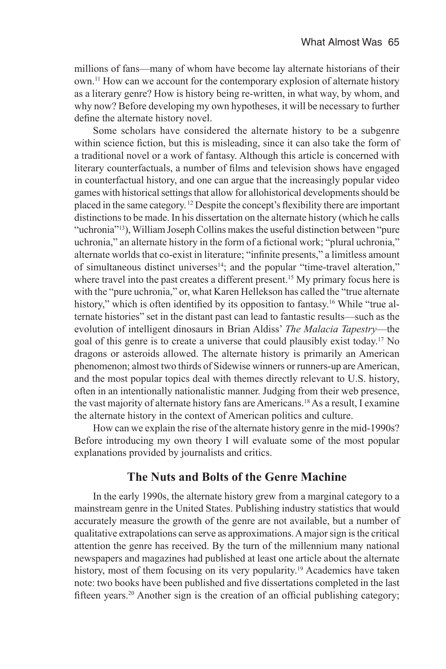millions of fans—many of whom have become lay alternate historians of their own.11 How can we account for the contemporary explosion of alternate history as a literary genre? How is history being re-written, in what way, by whom, and why now? Before developing my own hypotheses, it will be necessary to further define the alternate history novel.

Some scholars have considered the alternate history to be a subgenre within science fiction, but this is misleading, since it can also take the form of a traditional novel or a work of fantasy. Although this article is concerned with literary counterfactuals, a number of films and television shows have engaged in counterfactual history, and one can argue that the increasingly popular video games with historical settings that allow for allohistorical developments should be placed in the same category. 12 Despite the concept's flexibility there are important distinctions to be made. In his dissertation on the alternate history (which he calls "uchronia"13), William Joseph Collins makes the useful distinction between "pure uchronia," an alternate history in the form of a fictional work; "plural uchronia," alternate worlds that co-exist in literature; "infinite presents," a limitless amount of simultaneous distinct universes<sup>14</sup>; and the popular "time-travel alteration," where travel into the past creates a different present.<sup>15</sup> My primary focus here is with the "pure uchronia," or, what Karen Hellekson has called the "true alternate history," which is often identified by its opposition to fantasy.<sup>16</sup> While "true alternate histories" set in the distant past can lead to fantastic results—such as the evolution of intelligent dinosaurs in Brian Aldiss' *The Malacia Tapestry*—the goal of this genre is to create a universe that could plausibly exist today.17 No dragons or asteroids allowed. The alternate history is primarily an American phenomenon; almost two thirds of Sidewise winners or runners-up are American, and the most popular topics deal with themes directly relevant to U.S. history, often in an intentionally nationalistic manner. Judging from their web presence, the vast majority of alternate history fans are Americans.18 As a result, I examine the alternate history in the context of American politics and culture.

How can we explain the rise of the alternate history genre in the mid-1990s? Before introducing my own theory I will evaluate some of the most popular explanations provided by journalists and critics.

## **The Nuts and Bolts of the Genre Machine**

In the early 1990s, the alternate history grew from a marginal category to a mainstream genre in the United States. Publishing industry statistics that would accurately measure the growth of the genre are not available, but a number of qualitative extrapolations can serve as approximations. A major sign is the critical attention the genre has received. By the turn of the millennium many national newspapers and magazines had published at least one article about the alternate history, most of them focusing on its very popularity.<sup>19</sup> Academics have taken note: two books have been published and five dissertations completed in the last fifteen years.<sup>20</sup> Another sign is the creation of an official publishing category;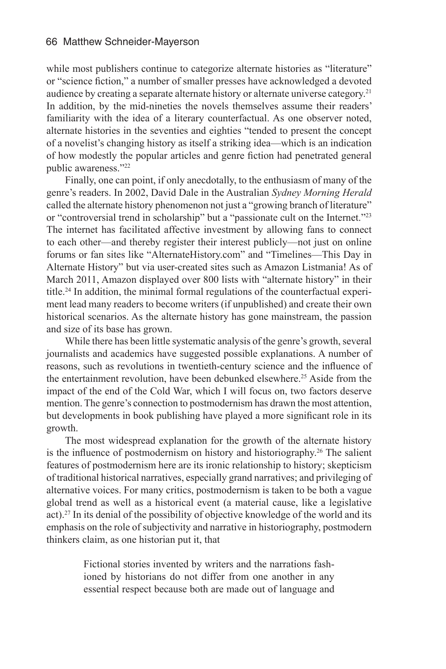while most publishers continue to categorize alternate histories as "literature" or "science fiction," a number of smaller presses have acknowledged a devoted audience by creating a separate alternate history or alternate universe category.<sup>21</sup> In addition, by the mid-nineties the novels themselves assume their readers' familiarity with the idea of a literary counterfactual. As one observer noted, alternate histories in the seventies and eighties "tended to present the concept of a novelist's changing history as itself a striking idea—which is an indication of how modestly the popular articles and genre fiction had penetrated general public awareness."22

Finally, one can point, if only anecdotally, to the enthusiasm of many of the genre's readers. In 2002, David Dale in the Australian *Sydney Morning Herald* called the alternate history phenomenon not just a "growing branch of literature" or "controversial trend in scholarship" but a "passionate cult on the Internet."23 The internet has facilitated affective investment by allowing fans to connect to each other—and thereby register their interest publicly—not just on online forums or fan sites like "AlternateHistory.com" and "Timelines—This Day in Alternate History" but via user-created sites such as Amazon Listmania! As of March 2011, Amazon displayed over 800 lists with "alternate history" in their title.24 In addition, the minimal formal regulations of the counterfactual experiment lead many readers to become writers (if unpublished) and create their own historical scenarios. As the alternate history has gone mainstream, the passion and size of its base has grown.

While there has been little systematic analysis of the genre's growth, several journalists and academics have suggested possible explanations. A number of reasons, such as revolutions in twentieth-century science and the influence of the entertainment revolution, have been debunked elsewhere.25 Aside from the impact of the end of the Cold War, which I will focus on, two factors deserve mention. The genre's connection to postmodernism has drawn the most attention, but developments in book publishing have played a more significant role in its growth.

The most widespread explanation for the growth of the alternate history is the influence of postmodernism on history and historiography.<sup>26</sup> The salient features of postmodernism here are its ironic relationship to history; skepticism of traditional historical narratives, especially grand narratives; and privileging of alternative voices. For many critics, postmodernism is taken to be both a vague global trend as well as a historical event (a material cause, like a legislative act).27 In its denial of the possibility of objective knowledge of the world and its emphasis on the role of subjectivity and narrative in historiography, postmodern thinkers claim, as one historian put it, that

> Fictional stories invented by writers and the narrations fashioned by historians do not differ from one another in any essential respect because both are made out of language and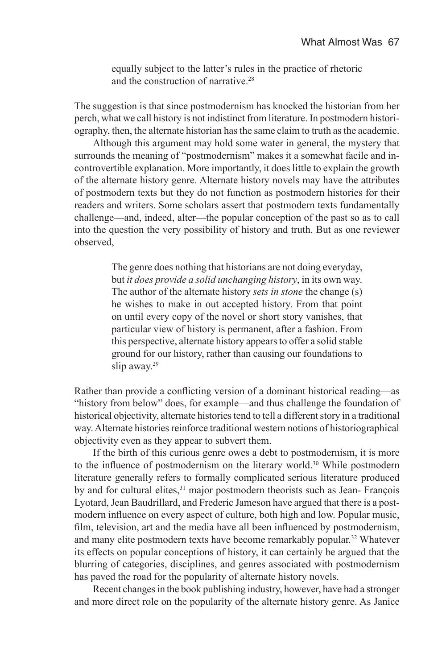equally subject to the latter's rules in the practice of rhetoric and the construction of narrative<sup>28</sup>

The suggestion is that since postmodernism has knocked the historian from her perch, what we call history is not indistinct from literature. In postmodern historiography, then, the alternate historian has the same claim to truth as the academic.

Although this argument may hold some water in general, the mystery that surrounds the meaning of "postmodernism" makes it a somewhat facile and incontrovertible explanation. More importantly, it does little to explain the growth of the alternate history genre. Alternate history novels may have the attributes of postmodern texts but they do not function as postmodern histories for their readers and writers. Some scholars assert that postmodern texts fundamentally challenge—and, indeed, alter—the popular conception of the past so as to call into the question the very possibility of history and truth. But as one reviewer observed,

> The genre does nothing that historians are not doing everyday, but *it does provide a solid unchanging history*, in its own way. The author of the alternate history *sets in stone* the change (s) he wishes to make in out accepted history. From that point on until every copy of the novel or short story vanishes, that particular view of history is permanent, after a fashion. From this perspective, alternate history appears to offer a solid stable ground for our history, rather than causing our foundations to slip away.29

Rather than provide a conflicting version of a dominant historical reading—as "history from below" does, for example—and thus challenge the foundation of historical objectivity, alternate histories tend to tell a different story in a traditional way. Alternate histories reinforce traditional western notions of historiographical objectivity even as they appear to subvert them.

If the birth of this curious genre owes a debt to postmodernism, it is more to the influence of postmodernism on the literary world.30 While postmodern literature generally refers to formally complicated serious literature produced by and for cultural elites,<sup>31</sup> major postmodern theorists such as Jean- François Lyotard, Jean Baudrillard, and Frederic Jameson have argued that there is a postmodern influence on every aspect of culture, both high and low. Popular music, film, television, art and the media have all been influenced by postmodernism, and many elite postmodern texts have become remarkably popular.32 Whatever its effects on popular conceptions of history, it can certainly be argued that the blurring of categories, disciplines, and genres associated with postmodernism has paved the road for the popularity of alternate history novels.

Recent changes in the book publishing industry, however, have had a stronger and more direct role on the popularity of the alternate history genre. As Janice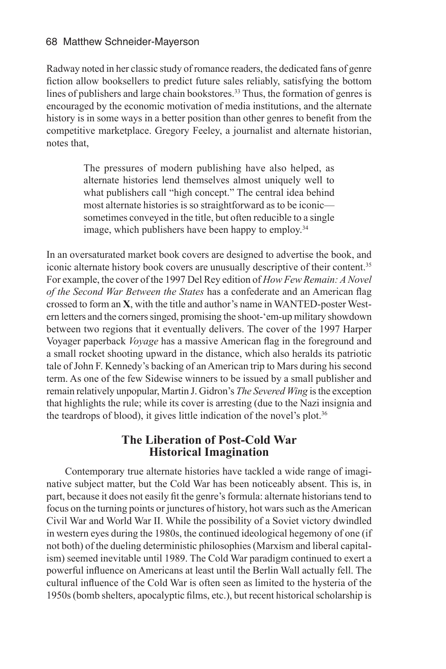Radway noted in her classic study of romance readers, the dedicated fans of genre fiction allow booksellers to predict future sales reliably, satisfying the bottom lines of publishers and large chain bookstores.<sup>33</sup> Thus, the formation of genres is encouraged by the economic motivation of media institutions, and the alternate history is in some ways in a better position than other genres to benefit from the competitive marketplace. Gregory Feeley, a journalist and alternate historian, notes that,

> The pressures of modern publishing have also helped, as alternate histories lend themselves almost uniquely well to what publishers call "high concept." The central idea behind most alternate histories is so straightforward as to be iconic sometimes conveyed in the title, but often reducible to a single image, which publishers have been happy to employ.<sup>34</sup>

In an oversaturated market book covers are designed to advertise the book, and iconic alternate history book covers are unusually descriptive of their content.35 For example, the cover of the 1997 Del Rey edition of *How Few Remain: ANovel of the Second War Between the States* has a confederate and an American flag crossed to form an **X**, with the title and author's name in WANTED-poster Western letters and the corners singed, promising the shoot-'em-up military showdown between two regions that it eventually delivers. The cover of the 1997 Harper Voyager paperback *Voyage* has a massive American flag in the foreground and a small rocket shooting upward in the distance, which also heralds its patriotic tale of John F. Kennedy's backing of an American trip to Mars during his second term. As one of the few Sidewise winners to be issued by a small publisher and remain relatively unpopular, Martin J. Gidron's *The Severed Wing* is the exception that highlights the rule; while its cover is arresting (due to the Nazi insignia and the teardrops of blood), it gives little indication of the novel's plot.36

# **The Liberation of Post-Cold War Historical Imagination**

Contemporary true alternate histories have tackled a wide range of imaginative subject matter, but the Cold War has been noticeably absent. This is, in part, because it does not easily fit the genre's formula: alternate historians tend to focus on the turning points or junctures of history, hot wars such as the American Civil War and World War II. While the possibility of a Soviet victory dwindled in western eyes during the 1980s, the continued ideological hegemony of one (if not both) of the dueling deterministic philosophies (Marxism and liberal capitalism) seemed inevitable until 1989. The Cold War paradigm continued to exert a powerful influence on Americans at least until the Berlin Wall actually fell. The cultural influence of the Cold War is often seen as limited to the hysteria of the 1950s (bomb shelters, apocalyptic films, etc.), but recent historical scholarship is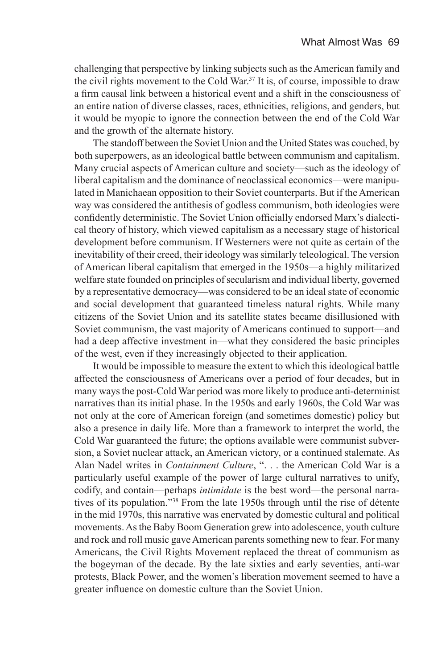challenging that perspective by linking subjects such as the American family and the civil rights movement to the Cold War.37 It is, of course, impossible to draw a firm causal link between a historical event and a shift in the consciousness of an entire nation of diverse classes, races, ethnicities, religions, and genders, but it would be myopic to ignore the connection between the end of the Cold War and the growth of the alternate history.

The standoff between the Soviet Union and the United States was couched, by both superpowers, as an ideological battle between communism and capitalism. Many crucial aspects of American culture and society—such as the ideology of liberal capitalism and the dominance of neoclassical economics—were manipulated in Manichaean opposition to their Soviet counterparts. But if the American way was considered the antithesis of godless communism, both ideologies were confidently deterministic. The Soviet Union officially endorsed Marx's dialectical theory of history, which viewed capitalism as a necessary stage of historical development before communism. If Westerners were not quite as certain of the inevitability of their creed, their ideology was similarly teleological. The version of American liberal capitalism that emerged in the 1950s—a highly militarized welfare state founded on principles of secularism and individual liberty, governed by a representative democracy—was considered to be an ideal state of economic and social development that guaranteed timeless natural rights. While many citizens of the Soviet Union and its satellite states became disillusioned with Soviet communism, the vast majority of Americans continued to support—and had a deep affective investment in—what they considered the basic principles of the west, even if they increasingly objected to their application.

It would be impossible to measure the extent to which this ideological battle affected the consciousness of Americans over a period of four decades, but in many ways the post-Cold War period was more likely to produce anti-determinist narratives than its initial phase. In the 1950s and early 1960s, the Cold War was not only at the core of American foreign (and sometimes domestic) policy but also a presence in daily life. More than a framework to interpret the world, the Cold War guaranteed the future; the options available were communist subversion, a Soviet nuclear attack, an American victory, or a continued stalemate. As Alan Nadel writes in *Containment Culture*, ". . . the American Cold War is a particularly useful example of the power of large cultural narratives to unify, codify, and contain—perhaps *intimidate* is the best word—the personal narratives of its population."38 From the late 1950s through until the rise of détente in the mid 1970s, this narrative was enervated by domestic cultural and political movements. As the Baby Boom Generation grew into adolescence, youth culture and rock and roll music gave American parents something new to fear. For many Americans, the Civil Rights Movement replaced the threat of communism as the bogeyman of the decade. By the late sixties and early seventies, anti-war protests, Black Power, and the women's liberation movement seemed to have a greater influence on domestic culture than the Soviet Union.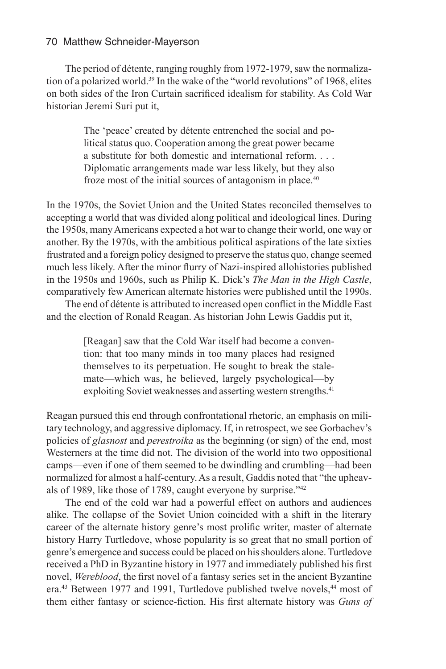The period of détente, ranging roughly from 1972-1979, saw the normalization of a polarized world.39 In the wake of the "world revolutions" of 1968, elites on both sides of the Iron Curtain sacrificed idealism for stability. As Cold War historian Jeremi Suri put it,

> The 'peace' created by détente entrenched the social and political status quo. Cooperation among the great power became a substitute for both domestic and international reform. . . . Diplomatic arrangements made war less likely, but they also froze most of the initial sources of antagonism in place.40

In the 1970s, the Soviet Union and the United States reconciled themselves to accepting a world that was divided along political and ideological lines. During the 1950s, many Americans expected a hot war to change their world, one way or another. By the 1970s, with the ambitious political aspirations of the late sixties frustrated and a foreign policy designed to preserve the status quo, change seemed much less likely. After the minor flurry of Nazi-inspired allohistories published in the 1950s and 1960s, such as Philip K. Dick's *The Man in the High Castle*, comparatively few American alternate histories were published until the 1990s.

The end of détente is attributed to increased open conflict in the Middle East and the election of Ronald Reagan. As historian John Lewis Gaddis put it,

> [Reagan] saw that the Cold War itself had become a convention: that too many minds in too many places had resigned themselves to its perpetuation. He sought to break the stalemate—which was, he believed, largely psychological—by exploiting Soviet weaknesses and asserting western strengths.<sup>41</sup>

Reagan pursued this end through confrontational rhetoric, an emphasis on military technology, and aggressive diplomacy. If, in retrospect, we see Gorbachev's policies of *glasnost* and *perestroika* as the beginning (or sign) of the end, most Westerners at the time did not. The division of the world into two oppositional camps—even if one of them seemed to be dwindling and crumbling—had been normalized for almost a half-century. As a result, Gaddis noted that "the upheavals of 1989, like those of 1789, caught everyone by surprise."42

The end of the cold war had a powerful effect on authors and audiences alike. The collapse of the Soviet Union coincided with a shift in the literary career of the alternate history genre's most prolific writer, master of alternate history Harry Turtledove, whose popularity is so great that no small portion of genre's emergence and success could be placed on his shoulders alone. Turtledove received a PhD in Byzantine history in 1977 and immediately published his first novel, *Wereblood*, the first novel of a fantasy series set in the ancient Byzantine era.<sup>43</sup> Between 1977 and 1991, Turtledove published twelve novels,<sup>44</sup> most of them either fantasy or science-fiction. His first alternate history was *Guns of*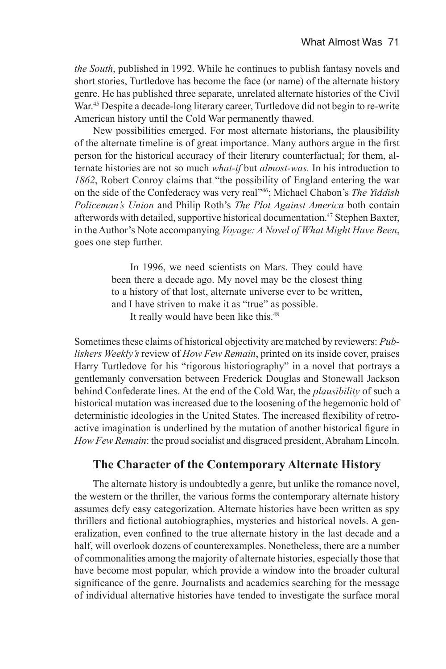*the South*, published in 1992. While he continues to publish fantasy novels and short stories, Turtledove has become the face (or name) of the alternate history genre. He has published three separate, unrelated alternate histories of the Civil War.<sup>45</sup> Despite a decade-long literary career, Turtledove did not begin to re-write American history until the Cold War permanently thawed.

New possibilities emerged. For most alternate historians, the plausibility of the alternate timeline is of great importance. Many authors argue in the first person for the historical accuracy of their literary counterfactual; for them, alternate histories are not so much *what-if* but *almost-was.* In his introduction to *1862*, Robert Conroy claims that "the possibility of England entering the war on the side of the Confederacy was very real"46; Michael Chabon's *The Yiddish Policeman's Union* and Philip Roth's *The Plot Against America* both contain afterwords with detailed, supportive historical documentation.<sup>47</sup> Stephen Baxter, in the Author's Note accompanying *Voyage: A Novel of What Might Have Been*, goes one step further.

> In 1996, we need scientists on Mars. They could have been there a decade ago. My novel may be the closest thing to a history of that lost, alternate universe ever to be written, and I have striven to make it as "true" as possible. It really would have been like this.<sup>48</sup>

Sometimes these claims of historical objectivity are matched by reviewers: *Publishers Weekly's* review of *How Few Remain*, printed on its inside cover, praises Harry Turtledove for his "rigorous historiography" in a novel that portrays a gentlemanly conversation between Frederick Douglas and Stonewall Jackson behind Confederate lines. At the end of the Cold War, the *plausibility* of such a historical mutation was increased due to the loosening of the hegemonic hold of deterministic ideologies in the United States. The increased flexibility of retroactive imagination is underlined by the mutation of another historical figure in *How Few Remain*: the proud socialist and disgraced president, Abraham Lincoln.

# **The Character of the Contemporary Alternate History**

The alternate history is undoubtedly a genre, but unlike the romance novel, the western or the thriller, the various forms the contemporary alternate history assumes defy easy categorization. Alternate histories have been written as spy thrillers and fictional autobiographies, mysteries and historical novels. A generalization, even confined to the true alternate history in the last decade and a half, will overlook dozens of counterexamples. Nonetheless, there are a number of commonalities among the majority of alternate histories, especially those that have become most popular, which provide a window into the broader cultural significance of the genre. Journalists and academics searching for the message of individual alternative histories have tended to investigate the surface moral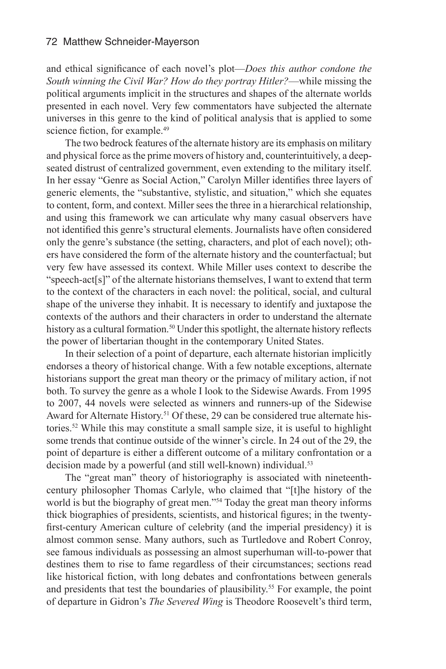and ethical significance of each novel's plot—*Does this author condone the South winning the Civil War? How do they portray Hitler?*—while missing the political arguments implicit in the structures and shapes of the alternate worlds presented in each novel. Very few commentators have subjected the alternate universes in this genre to the kind of political analysis that is applied to some science fiction, for example.<sup>49</sup>

The two bedrock features of the alternate history are its emphasis on military and physical force as the prime movers of history and, counterintuitively, a deepseated distrust of centralized government, even extending to the military itself. In her essay "Genre as Social Action," Carolyn Miller identifies three layers of generic elements, the "substantive, stylistic, and situation," which she equates to content, form, and context. Miller sees the three in a hierarchical relationship, and using this framework we can articulate why many casual observers have not identified this genre's structural elements. Journalists have often considered only the genre's substance (the setting, characters, and plot of each novel); others have considered the form of the alternate history and the counterfactual; but very few have assessed its context. While Miller uses context to describe the "speech-act[s]" of the alternate historians themselves, I want to extend that term to the context of the characters in each novel: the political, social, and cultural shape of the universe they inhabit. It is necessary to identify and juxtapose the contexts of the authors and their characters in order to understand the alternate history as a cultural formation.<sup>50</sup> Under this spotlight, the alternate history reflects the power of libertarian thought in the contemporary United States.

In their selection of a point of departure, each alternate historian implicitly endorses a theory of historical change. With a few notable exceptions, alternate historians support the great man theory or the primacy of military action, if not both. To survey the genre as a whole I look to the Sidewise Awards. From 1995 to 2007, 44 novels were selected as winners and runners-up of the Sidewise Award for Alternate History.<sup>51</sup> Of these, 29 can be considered true alternate histories.52 While this may constitute a small sample size, it is useful to highlight some trends that continue outside of the winner's circle. In 24 out of the 29, the point of departure is either a different outcome of a military confrontation or a decision made by a powerful (and still well-known) individual.<sup>53</sup>

The "great man" theory of historiography is associated with nineteenthcentury philosopher Thomas Carlyle, who claimed that "[t]he history of the world is but the biography of great men."<sup>54</sup> Today the great man theory informs thick biographies of presidents, scientists, and historical figures; in the twentyfirst-century American culture of celebrity (and the imperial presidency) it is almost common sense. Many authors, such as Turtledove and Robert Conroy, see famous individuals as possessing an almost superhuman will-to-power that destines them to rise to fame regardless of their circumstances; sections read like historical fiction, with long debates and confrontations between generals and presidents that test the boundaries of plausibility.<sup>55</sup> For example, the point of departure in Gidron's *The Severed Wing* is Theodore Roosevelt's third term,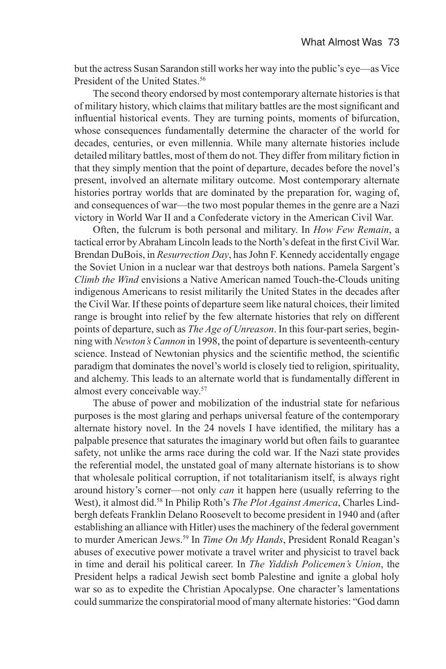but the actress Susan Sarandon still works her way into the public's eye—as Vice President of the United States.<sup>56</sup>

The second theory endorsed by most contemporary alternate histories is that of military history, which claims that military battles are the most significant and influential historical events. They are turning points, moments of bifurcation, whose consequences fundamentally determine the character of the world for decades, centuries, or even millennia. While many alternate histories include detailed military battles, most of them do not. They differ from military fiction in that they simply mention that the point of departure, decades before the novel's present, involved an alternate military outcome. Most contemporary alternate histories portray worlds that are dominated by the preparation for, waging of, and consequences of war—the two most popular themes in the genre are a Nazi victory in World War II and a Confederate victory in the American Civil War.

Often, the fulcrum is both personal and military. In *How Few Remain*, a tactical error by Abraham Lincoln leads to the North's defeat in the firstCivil War. Brendan DuBois, in *Resurrection Day*, has John F. Kennedy accidentally engage the Soviet Union in a nuclear war that destroys both nations. Pamela Sargent's *Climb the Wind* envisions a Native American named Touch-the-Clouds uniting indigenous Americans to resist militarily the United States in the decades after the Civil War. If these points of departure seem like natural choices, their limited range is brought into relief by the few alternate histories that rely on different points of departure, such as *The Age of Unreason*. In this four-part series, beginning with *Newton's Cannon* in 1998, the point of departure is seventeenth-century science. Instead of Newtonian physics and the scientific method, the scientific paradigm that dominates the novel's world is closely tied to religion, spirituality, and alchemy. This leads to an alternate world that is fundamentally different in almost every conceivable way.57

The abuse of power and mobilization of the industrial state for nefarious purposes is the most glaring and perhaps universal feature of the contemporary alternate history novel. In the 24 novels I have identified, the military has a palpable presence that saturates the imaginary world but often fails to guarantee safety, not unlike the arms race during the cold war. If the Nazi state provides the referential model, the unstated goal of many alternate historians is to show that wholesale political corruption, if not totalitarianism itself, is always right around history's corner—not only *can* it happen here (usually referring to the West), it almost did.58 In Philip Roth's *The Plot Against America*, Charles Lindbergh defeats Franklin Delano Roosevelt to become president in 1940 and (after establishing an alliance with Hitler) uses the machinery of the federal government to murder American Jews.59 In *Time On My Hands*, President Ronald Reagan's abuses of executive power motivate a travel writer and physicist to travel back in time and derail his political career. In *The Yiddish Policemen's Union*, the President helps a radical Jewish sect bomb Palestine and ignite a global holy war so as to expedite the Christian Apocalypse. One character's lamentations could summarize the conspiratorial mood of many alternate histories: "God damn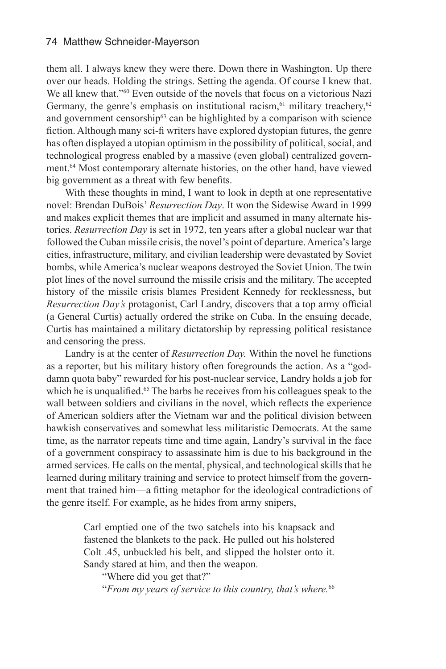them all. I always knew they were there. Down there in Washington. Up there over our heads. Holding the strings. Setting the agenda. Of course I knew that. We all knew that."<sup>60</sup> Even outside of the novels that focus on a victorious Nazi Germany, the genre's emphasis on institutional racism, $61$  military treachery,  $62$ and government censorship<sup>63</sup> can be highlighted by a comparison with science fiction. Although many sci-fi writers have explored dystopian futures, the genre has often displayed a utopian optimism in the possibility of political, social, and technological progress enabled by a massive (even global) centralized government.64 Most contemporary alternate histories, on the other hand, have viewed big government as a threat with few benefits.

With these thoughts in mind, I want to look in depth at one representative novel: Brendan DuBois' *Resurrection Day*. It won the Sidewise Award in 1999 and makes explicit themes that are implicit and assumed in many alternate histories. *Resurrection Day* is set in 1972, ten years after a global nuclear war that followed the Cuban missile crisis, the novel's point of departure. America's large cities, infrastructure, military, and civilian leadership were devastated by Soviet bombs, while America's nuclear weapons destroyed the Soviet Union. The twin plot lines of the novel surround the missile crisis and the military. The accepted history of the missile crisis blames President Kennedy for recklessness, but *Resurrection Day's* protagonist, Carl Landry, discovers that a top army official (a General Curtis) actually ordered the strike on Cuba. In the ensuing decade, Curtis has maintained a military dictatorship by repressing political resistance and censoring the press.

Landry is at the center of *Resurrection Day.* Within the novel he functions as a reporter, but his military history often foregrounds the action. As a "goddamn quota baby" rewarded for his post-nuclear service, Landry holds a job for which he is unqualified.<sup>65</sup> The barbs he receives from his colleagues speak to the wall between soldiers and civilians in the novel, which reflects the experience of American soldiers after the Vietnam war and the political division between hawkish conservatives and somewhat less militaristic Democrats. At the same time, as the narrator repeats time and time again, Landry's survival in the face of a government conspiracy to assassinate him is due to his background in the armed services. He calls on the mental, physical, and technological skills that he learned during military training and service to protect himself from the government that trained him—a fitting metaphor for the ideological contradictions of the genre itself. For example, as he hides from army snipers,

> Carl emptied one of the two satchels into his knapsack and fastened the blankets to the pack. He pulled out his holstered Colt .45, unbuckled his belt, and slipped the holster onto it. Sandy stared at him, and then the weapon.

"Where did you get that?"

"*From my years of service to this country, that's where.*<sup>66</sup>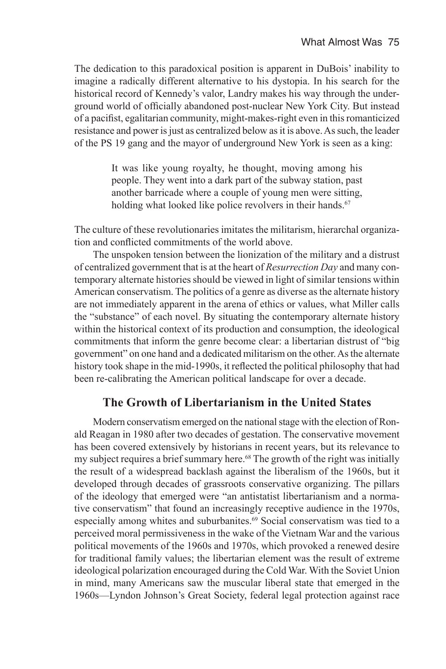The dedication to this paradoxical position is apparent in DuBois' inability to imagine a radically different alternative to his dystopia. In his search for the historical record of Kennedy's valor, Landry makes his way through the underground world of officially abandoned post-nuclear New York City. But instead of a pacifist, egalitarian community, might-makes-right even in this romanticized resistance and power is just as centralized below as it is above. As such, the leader of the PS 19 gang and the mayor of underground New York is seen as a king:

> It was like young royalty, he thought, moving among his people. They went into a dark part of the subway station, past another barricade where a couple of young men were sitting, holding what looked like police revolvers in their hands.<sup>67</sup>

The culture of these revolutionaries imitates the militarism, hierarchal organization and conflicted commitments of the world above.

The unspoken tension between the lionization of the military and a distrust of centralized government that is at the heart of *Resurrection Day* and many contemporary alternate histories should be viewed in light of similar tensions within American conservatism. The politics of a genre as diverse as the alternate history are not immediately apparent in the arena of ethics or values, what Miller calls the "substance" of each novel. By situating the contemporary alternate history within the historical context of its production and consumption, the ideological commitments that inform the genre become clear: a libertarian distrust of "big government" on one hand and a dedicated militarism on the other. As the alternate history took shape in the mid-1990s, it reflected the political philosophy that had been re-calibrating the American political landscape for over a decade.

# **The Growth of Libertarianism in the United States**

Modern conservatism emerged on the national stage with the election of Ronald Reagan in 1980 after two decades of gestation. The conservative movement has been covered extensively by historians in recent years, but its relevance to my subject requires a brief summary here.<sup>68</sup> The growth of the right was initially the result of a widespread backlash against the liberalism of the 1960s, but it developed through decades of grassroots conservative organizing. The pillars of the ideology that emerged were "an antistatist libertarianism and a normative conservatism" that found an increasingly receptive audience in the 1970s, especially among whites and suburbanites.<sup>69</sup> Social conservatism was tied to a perceived moral permissiveness in the wake of the Vietnam War and the various political movements of the 1960s and 1970s, which provoked a renewed desire for traditional family values; the libertarian element was the result of extreme ideological polarization encouraged during the Cold War. With the Soviet Union in mind, many Americans saw the muscular liberal state that emerged in the 1960s—Lyndon Johnson's Great Society, federal legal protection against race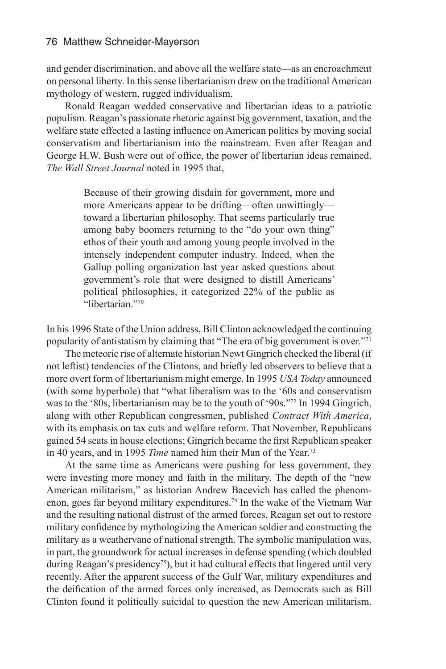and gender discrimination, and above all the welfare state—as an encroachment on personal liberty. In this sense libertarianism drew on the traditional American mythology of western, rugged individualism.

Ronald Reagan wedded conservative and libertarian ideas to a patriotic populism. Reagan's passionate rhetoric against big government, taxation, and the welfare state effected a lasting influence on American politics by moving social conservatism and libertarianism into the mainstream. Even after Reagan and George H.W. Bush were out of office, the power of libertarian ideas remained. *The Wall Street Journal* noted in 1995 that,

> Because of their growing disdain for government, more and more Americans appear to be drifting—often unwittingly toward a libertarian philosophy. That seems particularly true among baby boomers returning to the "do your own thing" ethos of their youth and among young people involved in the intensely independent computer industry. Indeed, when the Gallup polling organization last year asked questions about government's role that were designed to distill Americans' political philosophies, it categorized 22% of the public as "libertarian<sup>"70</sup>

In his 1996 State of the Union address, Bill Clinton acknowledged the continuing popularity of antistatism by claiming that "The era of big government is over."71

The meteoric rise of alternate historian Newt Gingrich checked the liberal (if not leftist) tendencies of the Clintons, and briefly led observers to believe that a more overt form of libertarianism might emerge. In 1995 *USA Today* announced (with some hyperbole) that "what liberalism was to the '60s and conservatism was to the '80s, libertarianism may be to the youth of '90s."72 In 1994 Gingrich, along with other Republican congressmen, published *Contract With America*, with its emphasis on tax cuts and welfare reform. That November, Republicans gained 54 seats in house elections; Gingrich became the first Republican speaker in 40 years, and in 1995 *Time* named him their Man of the Year.73

At the same time as Americans were pushing for less government, they were investing more money and faith in the military. The depth of the "new American militarism," as historian Andrew Bacevich has called the phenomenon, goes far beyond military expenditures.74 In the wake of the Vietnam War and the resulting national distrust of the armed forces, Reagan set out to restore military confidence by mythologizing the American soldier and constructing the military as a weathervane of national strength. The symbolic manipulation was, in part, the groundwork for actual increases in defense spending (which doubled during Reagan's presidency<sup>75</sup>), but it had cultural effects that lingered until very recently. After the apparent success of the Gulf War, military expenditures and the deification of the armed forces only increased, as Democrats such as Bill Clinton found it politically suicidal to question the new American militarism.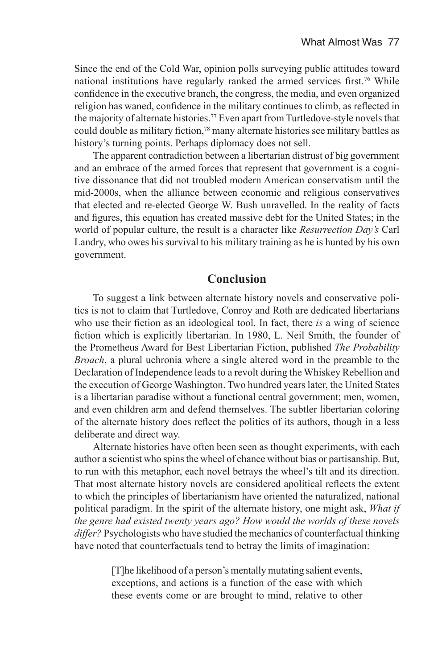Since the end of the Cold War, opinion polls surveying public attitudes toward national institutions have regularly ranked the armed services first.<sup>76</sup> While confidence in the executive branch, the congress, the media, and even organized religion has waned, confidence in the military continues to climb, as reflected in the majority of alternate histories.77 Even apart from Turtledove-style novels that could double as military fiction,78 many alternate histories see military battles as history's turning points. Perhaps diplomacy does not sell.

The apparent contradiction between a libertarian distrust of big government and an embrace of the armed forces that represent that government is a cognitive dissonance that did not troubled modern American conservatism until the mid-2000s, when the alliance between economic and religious conservatives that elected and re-elected George W. Bush unravelled. In the reality of facts and figures, this equation has created massive debt for the United States; in the world of popular culture, the result is a character like *Resurrection Day's* Carl Landry, who owes his survival to his military training as he is hunted by his own government.

## **Conclusion**

To suggest a link between alternate history novels and conservative politics is not to claim that Turtledove, Conroy and Roth are dedicated libertarians who use their fiction as an ideological tool. In fact, there *is* a wing of science fiction which is explicitly libertarian. In 1980, L. Neil Smith, the founder of the Prometheus Award for Best Libertarian Fiction, published *The Probability Broach*, a plural uchronia where a single altered word in the preamble to the Declaration of Independence leads to a revolt during the Whiskey Rebellion and the execution of George Washington. Two hundred years later, the United States is a libertarian paradise without a functional central government; men, women, and even children arm and defend themselves. The subtler libertarian coloring of the alternate history does reflect the politics of its authors, though in a less deliberate and direct way.

Alternate histories have often been seen as thought experiments, with each author a scientist who spins the wheel of chance without bias or partisanship. But, to run with this metaphor, each novel betrays the wheel's tilt and its direction. That most alternate history novels are considered apolitical reflects the extent to which the principles of libertarianism have oriented the naturalized, national political paradigm. In the spirit of the alternate history, one might ask, *What if the genre had existed twenty years ago? How would the worlds of these novels differ?* Psychologists who have studied the mechanics of counterfactual thinking have noted that counterfactuals tend to betray the limits of imagination:

> [T]he likelihood of a person's mentally mutating salient events, exceptions, and actions is a function of the ease with which these events come or are brought to mind, relative to other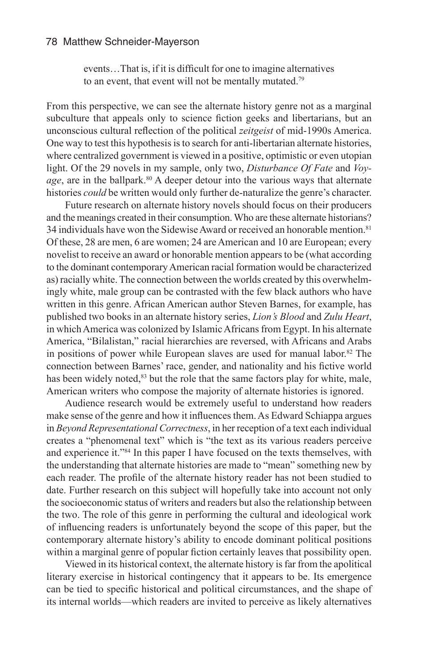events…That is, if it is difficult for one to imagine alternatives to an event, that event will not be mentally mutated.<sup>79</sup>

From this perspective, we can see the alternate history genre not as a marginal subculture that appeals only to science fiction geeks and libertarians, but an unconscious cultural reflection of the political *zeitgeist* of mid-1990s America. One way to test this hypothesis is to search for anti-libertarian alternate histories, where centralized government is viewed in a positive, optimistic or even utopian light. Of the 29 novels in my sample, only two, *Disturbance Of Fate* and *Voyage*, are in the ballpark.<sup>80</sup> A deeper detour into the various ways that alternate histories *could* be written would only further de-naturalize the genre's character.

Future research on alternate history novels should focus on their producers and the meanings created in their consumption. Who are these alternate historians? 34 individuals have won the Sidewise Award or received an honorable mention.<sup>81</sup> Of these, 28 are men, 6 are women; 24 are American and 10 are European; every novelist to receive an award or honorable mention appears to be (what according to the dominant contemporary American racial formation would be characterized as) racially white. The connection between the worlds created by this overwhelmingly white, male group can be contrasted with the few black authors who have written in this genre. African American author Steven Barnes, for example, has published two books in an alternate history series, *Lion's Blood* and *Zulu Heart*, in which America was colonized by Islamic Africans from Egypt. In his alternate America, "Bilalistan," racial hierarchies are reversed, with Africans and Arabs in positions of power while European slaves are used for manual labor.<sup>82</sup> The connection between Barnes' race, gender, and nationality and his fictive world has been widely noted,<sup>83</sup> but the role that the same factors play for white, male, American writers who compose the majority of alternate histories is ignored.

Audience research would be extremely useful to understand how readers make sense of the genre and how it influences them. As Edward Schiappa argues in *Beyond Representational Correctness*, in her reception of a text each individual creates a "phenomenal text" which is "the text as its various readers perceive and experience it."84 In this paper I have focused on the texts themselves, with the understanding that alternate histories are made to "mean" something new by each reader. The profile of the alternate history reader has not been studied to date. Further research on this subject will hopefully take into account not only the socioeconomic status of writers and readers but also the relationship between the two. The role of this genre in performing the cultural and ideological work of influencing readers is unfortunately beyond the scope of this paper, but the contemporary alternate history's ability to encode dominant political positions within a marginal genre of popular fiction certainly leaves that possibility open.

Viewed in its historical context, the alternate history is far from the apolitical literary exercise in historical contingency that it appears to be. Its emergence can be tied to specific historical and political circumstances, and the shape of its internal worlds—which readers are invited to perceive as likely alternatives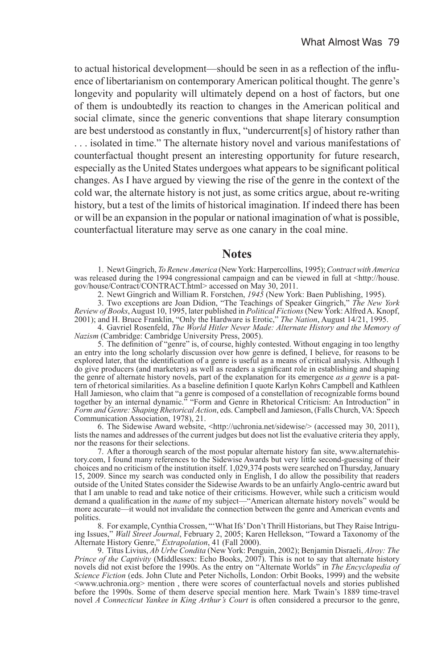to actual historical development—should be seen in as a reflection of the influence of libertarianism on contemporary American political thought. The genre's longevity and popularity will ultimately depend on a host of factors, but one of them is undoubtedly its reaction to changes in the American political and social climate, since the generic conventions that shape literary consumption are best understood as constantly in flux, "undercurrent[s] of history rather than . . . isolated in time." The alternate history novel and various manifestations of counterfactual thought present an interesting opportunity for future research, especially as the United States undergoes what appears to be significant political changes. As I have argued by viewing the rise of the genre in the context of the cold war, the alternate history is not just, as some critics argue, about re-writing history, but a test of the limits of historical imagination. If indeed there has been or will be an expansion in the popular or national imagination of what is possible, counterfactual literature may serve as one canary in the coal mine.

## **Notes**

1. Newt Gingrich, *To RenewAmerica* (New York: Harpercollins, 1995); *ContractwithAmerica* was released during the 1994 congressional campaign and can be viewed in full at  $\langle$ http://house. gov/house/Contract/CONTRACT.html> accessed on May 30, 2011.

2. Newt Gingrich and William R. Forstchen, *1945* (New York: Baen Publishing, 1995).

3. Two exceptions are Joan Didion, "The Teachings of Speaker Gingrich," *The New York Review of Books*, August 10, 1995, later published in *Political Fictions* (New York: Alfred A. Knopf, 2001); and H. Bruce Franklin, "Only the Hardware is Erotic," *The Nation*, August 14/21, 1995.

4. Gavriel Rosenfeld, *The World Hitler Never Made: Alternate History and the Memory of Nazism* (Cambridge: Cambridge University Press, 2005).

5. The definition of "genre" is, of course, highly contested. Without engaging in too lengthy an entry into the long scholarly discussion over how genre is defined, I believe, for reasons to be explored later, that the identification of a genre is useful as a means of critical analysis. Although I do give producers (and marketers) as well as readers a significant role in establishing and shaping the genre of alternate history novels, part of the explanation for its emergence *as a genre* is a pattern of rhetorical similarities. As a baseline definition I quote Karlyn Kohrs Campbell and Kathleen Hall Jamieson, who claim that "a genre is composed of a constellation of recognizable forms bound together by an internal dynamic." "Form and Genre in Rhetorical Criticism: An Introduction" in *Form and Genre: Shaping Rhetorical Action*, eds. Campbell and Jamieson, (Falls Church, VA: Speech Communication Association, 1978), 21.

6. The Sidewise Award website, <http://uchronia.net/sidewise/> (accessed may 30, 2011), lists the names and addresses of the current judges but does not list the evaluative criteria they apply, nor the reasons for their selections.

7. After a thorough search of the most popular alternate history fan site, www.alternatehistory.com, I found many references to the Sidewise Awards but very little second-guessing of their choices and no criticism of the institution itself. 1,029,374 posts were searched on Thursday, January 15, 2009. Since my search was conducted only in English, I do allow the possibility that readers outside of the United States consider the Sidewise Awards to be an unfairly Anglo-centric award but that I am unable to read and take notice of their criticisms. However, while such a criticism would demand a qualification in the *name* of my subject—"American alternate history novels" would be more accurate—it would not invalidate the connection between the genre and American events and politics.

8. For example, Cynthia Crossen, "'What Ifs' Don't Thrill Historians, but They Raise Intrigu-ing Issues," *Wall Street Journal*, February 2, 2005; Karen Hellekson, "Toward a Taxonomy of the Alternate History Genre," *Extrapolation*, 41 (Fall 2000).

9. Titus Livius, *Ab Urbe Condita* (New York: Penguin, 2002); Benjamin Disraeli, *Alroy: The Prince of the Captivity* (Middlessex: Echo Books, 2007). This is not to say that alternate history novels did not exist before the 1990s. As the entry on "Alternate Worlds" in *The Encyclopedia of Science Fiction* (eds. John Clute and Peter Nicholls, London: Orbit Books, 1999) and the website <www.uchronia.org> mention , there were scores of counterfactual novels and stories published before the 1990s. Some of them deserve special mention here. Mark Twain's 1889 time-travel novel *A Connecticut Yankee in King Arthur's Court* is often considered a precursor to the genre,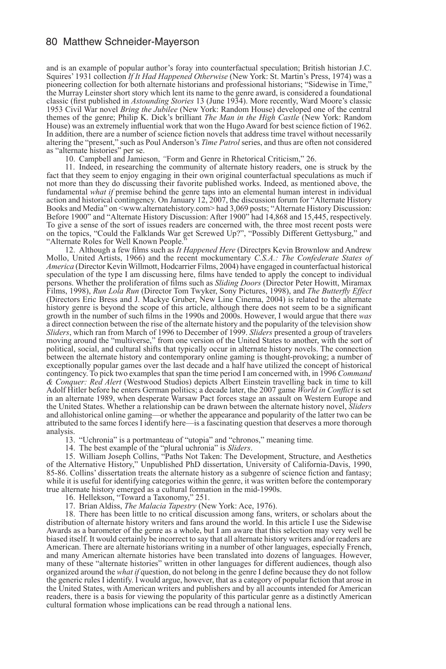and is an example of popular author's foray into counterfactual speculation; British historian J.C. Squires' 1931 collection *If It Had Happened Otherwise* (New York: St. Martin's Press, 1974) was a pioneering collection for both alternate historians and professional historians; "Sidewise in Time," the Murray Leinster short story which lent its name to the genre award, is considered a foundational classic (first published in *Astounding Stories* 13 (June 1934). More recently, Ward Moore's classic 1953 Civil War novel *Bring the Jubilee* (New York: Random House) developed one of the central themes of the genre; Philip K. Dick's brilliant *The Man in the High Castle* (New York: Random House) was an extremely influential work that won the Hugo Award for best science fiction of 1962. In addition, there are a number of science fiction novels that address time travel without necessarily altering the "present," such as Poul Anderson's *Time Patrol* series, and thus are often not considered as "alternate histories" per se.

10. Campbell and Jamieson, *"*Form and Genre in Rhetorical Criticism," 26.

11. Indeed, in researching the community of alternate history readers, one is struck by the fact that they seem to enjoy engaging in their own original counterfactual speculations as much if not more than they do discussing their favorite published works. Indeed, as mentioned above, the fundamental *what if* premise behind the genre taps into an elemental human interest in individual action and historical contingency. On January 12, 2007, the discussion forum for "Alternate History" Books and Media" on <www.alternatehistory.com> had 3,069 posts; "Alternate History Discussion: Before 1900" and "Alternate History Discussion: After 1900" had 14,868 and 15,445, respectively. To give a sense of the sort of issues readers are concerned with, the three most recent posts were on the topics, "Could the Falklands War get Screwed Up?", "Possibly Different Gettysburg," and "Alternate Roles for Well Known People."

12. Although a few films such as *It Happened Here* (Directprs Kevin Brownlow and Andrew Mollo, United Artists, 1966) and the recent mockumentary *C.S.A.: The Confederate States of America* (Director Kevin Willmott, Hodcarrier Films, 2004) have engaged in counterfactual historical speculation of the type I am discussing here, films have tended to apply the concept to individual persons. Whether the proliferation of films such as *Sliding Doors* (Director Peter Howitt, Miramax Films, 1998), *Run Lola Run* (Director Tom Twyker, Sony Pictures, 1998), and *The Butterfly Effect* (Directors Eric Bress and J. Mackye Gruber, New Line Cinema, 2004) is related to the alternate history genre is beyond the scope of this article, although there does not seem to be a significant growth in the number of such films in the 1990s and 2000s. However, I would argue that there *was* a direct connection between the rise of the alternate history and the popularity of the television show *Sliders*, which ran from March of 1996 to December of 1999. *Sliders* presented a group of travelers moving around the "multiverse," from one version of the United States to another, with the sort of political, social, and cultural shifts that typically occur in alternate history novels. The connection between the alternate history and contemporary online gaming is thought-provoking; a number of exceptionally popular games over the last decade and a half have utilized the concept of historical contingency. To pick two examples that span the time period I am concerned with, in 1996 *Command & Conquer: Red Alert* (Westwood Studios) depicts Albert Einstein travelling back in time to kill Adolf Hitler before he enters German politics; a decade later, the 2007 game *World in Conflict* is set in an alternate 1989, when desperate Warsaw Pact forces stage an assault on Western Europe and the United States. Whether a relationship can be drawn between the alternate history novel, *Sliders* and allohistorical online gaming—or whether the appearance and popularity of the latter two can be attributed to the same forces I identify here—is a fascinating question that deserves a more thorough analysis.

13. "Uchronia" is a portmanteau of "utopia" and "chronos," meaning time*.*

14. The best example of the "plural uchronia" is *Sliders*.

15. William Joseph Collins, "Paths Not Taken: The Development, Structure, and Aesthetics of the Alternative History," Unpublished PhD dissertation, University of California-Davis, 1990, 85-86. Collins' dissertation treats the alternate history as a subgenre of science fiction and fantasy; while it is useful for identifying categories within the genre, it was written before the contemporary true alternate history emerged as a cultural formation in the mid-1990s.

16. Hellekson, "Toward a Taxonomy," 251.

17. Brian Aldiss, *The Malacia Tapestry* (New York: Ace, 1976).

18. There has been little to no critical discussion among fans, writers, or scholars about the distribution of alternate history writers and fans around the world. In this article I use the Sidewise Awards as a barometer of the genre as a whole, but I am aware that this selection may very well be biased itself. It would certainly be incorrect to say that all alternate history writers and/or readers are American. There are alternate historians writing in a number of other languages, especially French, and many American alternate histories have been translated into dozens of languages. However, many of these "alternate histories" written in other languages for different audiences, though also organized around the *what if* question, do not belong in the genre I define because they do not follow the generic rules I identify. I would argue, however, that as a category of popular fiction that arose in the United States, with American writers and publishers and by all accounts intended for American readers, there is a basis for viewing the popularity of this particular genre as a distinctly American cultural formation whose implications can be read through a national lens.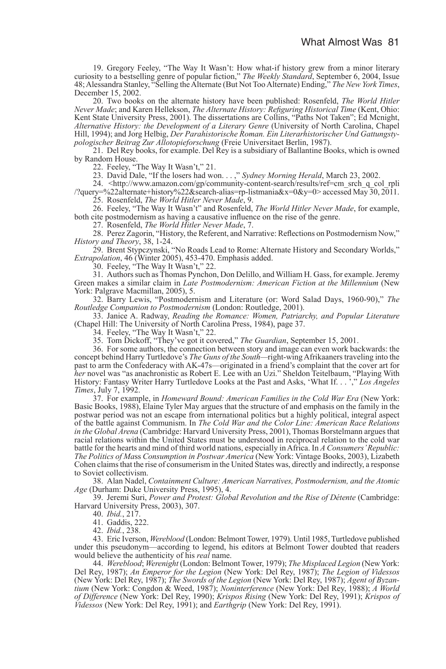19. Gregory Feeley, "The Way It Wasn't: How what-if history grew from a minor literary curiosity to a bestselling genre of popular fiction," *The Weekly Standard*, September 6, 2004, Issue 48; Alessandra Stanley, "Selling the Alternate (But Not Too Alternate) Ending," *The New York Times*, December 15, 2002.

20. Two books on the alternate history have been published: Rosenfeld, *The World Hitler Never Made*; and Karen Hellekson, *The Alternate History: Refiguring Historical Time* (Kent, Ohio: Kent State University Press, 2001). The dissertations are Collins, "Paths Not Taken"; Ed Mcnight, *Alternative History: the Development of a Literary Genre* (University of North Carolina, Chapel Hill, 1994); and Jorg Helbig, *Der Parahistorische Roman. Ein Literarhistorischer Und Gattungstypologischer Beitrag Zur Allotopieforschung* (Freie Universitaet Berlin, 1987).

21. Del Rey books, for example. Del Rey is a subsidiary of Ballantine Books, which is owned by Random House.

22. Feeley, "The Way It Wasn't," 21.

23. David Dale, "If the losers had won. . . ," *Sydney Morning Herald*, March 23, 2002.

24. <http://www.amazon.com/gp/community-content-search/results/ref=cm\_srch\_q\_col\_rpli /?query=%22alternate+history%22&search-alias=rp-listmania&x=0&y=0> accessed May 30, 2011.

25. Rosenfeld, *The World Hitler Never Made*, 9.

26. Feeley, "The Way It Wasn't" and Rosenfeld, *The World Hitler Never Made*, for example, both cite postmodernism as having a causative influence on the rise of the genre.

27. Rosenfeld, *The World Hitler Never Made*, 7.

28. Perez Zagorin, "History, the Referent, and Narrative: Reflections on Postmodernism Now," *History and Theory*, 38, 1-24.

29. Brent Stypczynski, "No Roads Lead to Rome: Alternate History and Secondary Worlds," *Extrapolation*, 46 (Winter 2005), 453-470. Emphasis added.

30. Feeley, "The Way It Wasn't," 22.

31. Authors such as Thomas Pynchon, Don Delillo, and William H. Gass, for example. Jeremy Green makes a similar claim in *Late Postmodernism: American Fiction at the Millennium* (New York: Palgrave Macmillan, 2005), 5.

32. Barry Lewis, "Postmodernism and Literature (or: Word Salad Days, 1960-90)," *The Routledge Companion to Postmodernism* (London: Routledge, 2001).

33. Janice A. Radway, *Reading the Romance: Women, Patriarchy, and Popular Literature* (Chapel Hill: The University of North Carolina Press, 1984), page 37.

34. Feeley, "The Way It Wasn't," 22.

35. Tom Dickoff, "They've got it covered," *The Guardian*, September 15, 2001.

36. For some authors, the connection between story and image can even work backwards: the concept behind Harry Turtledove's *The Guns of the South—*right-wing Afrikaaners traveling into the past to arm the Confederacy with AK-47s—originated in a friend's complaint that the cover art for *her* novel was "as anachronistic as Robert E. Lee with an Uzi." Sheldon Teitelbaum, "Playing With History: Fantasy Writer Harry Turtledove Looks at the Past and Asks, 'What If. . . '," *Los Angeles Times*, July 7, 1992.

37. For example, in *Homeward Bound: American Families in the Cold War Era* (New York: Basic Books, 1988), Elaine Tyler May argues that the structure of and emphasis on the family in the postwar period was not an escape from international politics but a highly political, integral aspect of the battle against Communism. In *The Cold War and the Color Line: American Race Relations in the Global Arena* (Cambridge: Harvard University Press, 2001), Thomas Borstelmann argues that racial relations within the United States must be understood in reciprocal relation to the cold war battle for the hearts and mind of third world nations, especially in Africa. In *A Consumers'Republic: The Politics of Ma*ss *Consumption in Postwar America* (New York: Vintage Books, 2003), Lizabeth Cohen claims that the rise of consumerism in the United States was, directly and indirectly, a response to Soviet collectivism.

38. Alan Nadel, *Containment Culture: American Narratives, Postmodernism, and the Atomic Age* (Durham: Duke University Press, 1995), 4.

39. Jeremi Suri, *Power and Protest: Global Revolution and the Rise of Détente* (Cambridge: Harvard University Press, 2003), 307.

40. *Ibid.*, 217.

41. Gaddis, 222.

42. *Ibid.*, 238.

43. Eric Iverson, *Wereblood* (London: Belmont Tower, 1979). Until 1985, Turtledove published under this pseudonym—according to legend, his editors at Belmont Tower doubted that readers would believe the authenticity of his *real* name.

44. *Wereblood*; *Werenight* (London: Belmont Tower, 1979); *The Misplaced Legion* (New York: Del Rey, 1987); *An Emperor for the Legion* (New York: Del Rey, 1987); *The Legion of Videssos* (New York: Del Rey, 1987); *The Swords of the Legion* (New York: Del Rey, 1987); *Agent of Byzantium* (New York: Congdon & Weed, 1987); *Noninterference* (New York: Del Rey, 1988); *A World of Difference* (New York: Del Rey, 1990); *Krispos Rising* (New York: Del Rey, 1991); *Krispos of Videssos* (New York: Del Rey, 1991); and *Earthgrip* (New York: Del Rey, 1991).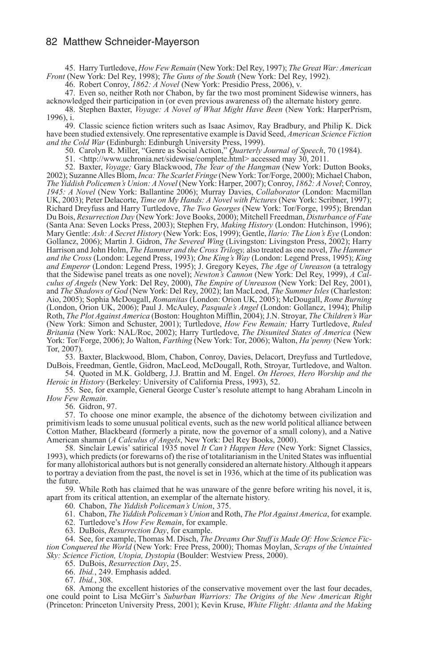45. Harry Turtledove, *How Few Remain* (New York: Del Rey, 1997); *The Great War: American Front* (New York: Del Rey, 1998); *The Guns of the South* (New York: Del Rey, 1992).

46. Robert Conroy, *1862: A Novel* (New York: Presidio Press, 2006), v.

47. Even so, neither Roth nor Chabon, by far the two most prominent Sidewise winners, has acknowledged their participation in (or even previous awareness of) the alternate history genre.

48. Stephen Baxter, *Voyage: A Novel of What Might Have Been* (New York: HarperPrism, 1996), i.

49. Classic science fiction writers such as Isaac Asimov, Ray Bradbury, and Philip K. Dick have been studied extensively. One representative example is David Seed, *American Science Fiction and the Cold War* (Edinburgh: Edinburgh University Press, 1999).

50. Carolyn R. Miller, "Genre as Social Action," *Quarterly Journal of Speech*, 70 (1984).

51. <http://www.uchronia.net/sidewise/complete.html> accessed may 30, 2011.

52. Baxter, *Voyage;* Gary Blackwood, *The Year of the Hangman* (New York: Dutton Books, 2002); Suzanne Alles Blom, *Inca: The Scarlet Fringe* (New York: Tor/Forge, 2000); Michael Chabon, *The Yiddish Policemen's Union: ANovel* (New York: Harper, 2007); Conroy, *1862: ANovel*; Conroy, *1945: A Novel* (New York: Ballantine 2006); Murray Davies, *Collaborator* (London: Macmillan UK, 2003); Peter Delacorte, *Time on My Hands: A Novel with Pictures* (New York: Scribner, 1997); Richard Dreyfuss and Harry Turtledove, *The Two Georges* (New York: Tor/Forge, 1995); Brendan Du Bois, *Resurrection Day* (New York: Jove Books, 2000); Mitchell Freedman, *Disturbance of Fate* (Santa Ana: Seven Locks Press, 2003); Stephen Fry, *Making History* (London: Hutchinson, 1996); Mary Gentle: *Ash: A Secret History* (New York: Eos, 1999); Gentle, *Ilario: The Lion's Eye* (London: Gollancz, 2006); Martin J. Gidron, *The Severed Wing* (Livingston: Livingston Press, 2002); Harry Harrison and John Holm, *The Hammer and the Cross Trilogy,* also treated as one novel, *The Hammer and the Cross* (London: Legend Press, 1993); *One King's Way* (London: Legend Press, 1995); *King and Emperor* (London: Legend Press, 1995); J. Gregory Keyes, *The Age of Unreason* (a tetralogy that the Sidewise panel treats as one novel); *Newton's Cannon* (New York: Del Rey, 1999), *A Calculus of Angels* (New York: Del Rey, 2000), *The Empire of Unreason* (New York: Del Rey, 2001), and *The Shadows of God* (New York: Del Rey, 2002); Ian MacLeod, *The Summer Isles* (Charleston: Aio, 2005); Sophia McDougall, *Romanitas* (London: Orion UK, 2005); McDougall, *Rome Burning* (London, Orion UK, 2006); Paul J. McAuley, *Pasquale's Angel* (London: Gollancz, 1994); Philip Roth, *The Plot Against America* (Boston: Houghton Mifflin, 2004); J.N. Stroyar, *The Children's War* (New York: Simon and Schuster, 2001); Turtledove, *How Few Remain;* Harry Turtledove, *Ruled Britania* (New York: NAL/Roc, 2002); Harry Turtledove, *The Disunited States of America* (New York: Tor/Forge, 2006); Jo Walton, *Farthing* (New York: Tor, 2006); Walton, *Ha'penny* (New York: Tor, 2007).

53. Baxter, Blackwood, Blom, Chabon, Conroy, Davies, Delacort, Dreyfuss and Turtledove, DuBois, Freedman, Gentle, Gidron, MacLeod, McDougall, Roth, Stroyar, Turtledove, and Walton. 54. Quoted in M.K. Goldberg, J.J. Brattin and M. Engel. *On Heroes, Hero Worship and the*

*Heroic in History* (Berkeley: University of California Press, 1993), 52.

55. See, for example, General George Custer's resolute attempt to hang Abraham Lincoln in *How Few Remain*.

56. Gidron, 97.

57. To choose one minor example, the absence of the dichotomy between civilization and primitivism leads to some unusual political events, such as the new world political alliance between Cotton Mather, Blackbeard (formerly a pirate, now the governor of a small colony), and a Native American shaman (*A Calculus of Angels*, New York: Del Rey Books, 2000).

58. Sinclair Lewis' satirical 1935 novel *It Can't Happen Here* (New York: Signet Classics, 1993), which predicts (or forewarns of) the rise of totalitarianism in the United States was influential for many allohistorical authors but is not generally considered an alternate history. Although it appears to portray a deviation from the past, the novel is set in 1936, which at the time of its publication was the future.

59. While Roth has claimed that he was unaware of the genre before writing his novel, it is, apart from its critical attention, an exemplar of the alternate history.

60. Chabon, *The Yiddish Policeman's Union*, 375.

61. Chabon, *The Yiddish Policeman's Union* and Roth, *The Plot Against America*, for example.

62. Turtledove's *How Few Remain*, for example.

63. DuBois, *Resurrection Day*, for example.

64. See, for example, Thomas M. Disch, *The Dreams Our Stuff is Made Of: How Science Fiction Conquered the World* (New York: Free Press, 2000); Thomas Moylan, *Scraps of the Untainted Sky: Science Fiction, Utopia, Dystopia* (Boulder: Westview Press, 2000).

65. DuBois, *Resurrection Day*, 25.

66. *Ibid.*, 249. Emphasis added.

67. *Ibid.*, 308.

68. Among the excellent histories of the conservative movement over the last four decades, one could point to Lisa McGirr's *Suburban Warriors: The Origins of the New American Right* (Princeton: Princeton University Press, 2001); Kevin Kruse, *White Flight: Atlanta and the Making*